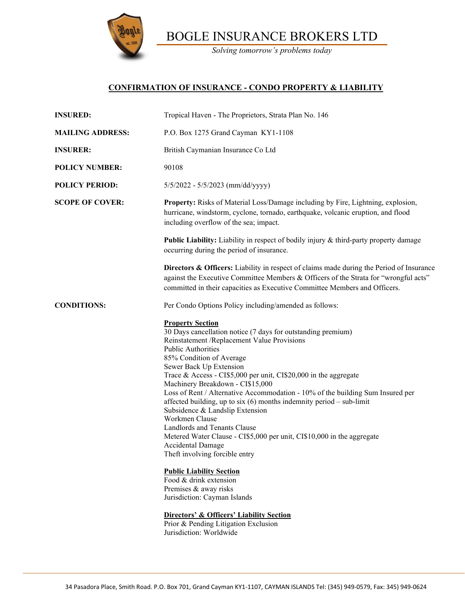

BOGLE INSURANCE BROKERS LTD

*Solving tomorrow's problems today*

## **CONFIRMATION OF INSURANCE - CONDO PROPERTY & LIABILITY**

| <b>INSURED:</b>         | Tropical Haven - The Proprietors, Strata Plan No. 146                                                                                                                                                                                                                                                                                                                                                                                                                                                                                                                                                                                                                                                                                                                                                                                                                                                                                                            |
|-------------------------|------------------------------------------------------------------------------------------------------------------------------------------------------------------------------------------------------------------------------------------------------------------------------------------------------------------------------------------------------------------------------------------------------------------------------------------------------------------------------------------------------------------------------------------------------------------------------------------------------------------------------------------------------------------------------------------------------------------------------------------------------------------------------------------------------------------------------------------------------------------------------------------------------------------------------------------------------------------|
| <b>MAILING ADDRESS:</b> | P.O. Box 1275 Grand Cayman KY1-1108                                                                                                                                                                                                                                                                                                                                                                                                                                                                                                                                                                                                                                                                                                                                                                                                                                                                                                                              |
| <b>INSURER:</b>         | British Caymanian Insurance Co Ltd                                                                                                                                                                                                                                                                                                                                                                                                                                                                                                                                                                                                                                                                                                                                                                                                                                                                                                                               |
| <b>POLICY NUMBER:</b>   | 90108                                                                                                                                                                                                                                                                                                                                                                                                                                                                                                                                                                                                                                                                                                                                                                                                                                                                                                                                                            |
| <b>POLICY PERIOD:</b>   | 5/5/2022 - 5/5/2023 (mm/dd/yyyy)                                                                                                                                                                                                                                                                                                                                                                                                                                                                                                                                                                                                                                                                                                                                                                                                                                                                                                                                 |
| <b>SCOPE OF COVER:</b>  | Property: Risks of Material Loss/Damage including by Fire, Lightning, explosion,<br>hurricane, windstorm, cyclone, tornado, earthquake, volcanic eruption, and flood<br>including overflow of the sea; impact.                                                                                                                                                                                                                                                                                                                                                                                                                                                                                                                                                                                                                                                                                                                                                   |
|                         | <b>Public Liability:</b> Liability in respect of bodily injury & third-party property damage<br>occurring during the period of insurance.                                                                                                                                                                                                                                                                                                                                                                                                                                                                                                                                                                                                                                                                                                                                                                                                                        |
|                         | <b>Directors &amp; Officers:</b> Liability in respect of claims made during the Period of Insurance<br>against the Executive Committee Members & Officers of the Strata for "wrongful acts"<br>committed in their capacities as Executive Committee Members and Officers.                                                                                                                                                                                                                                                                                                                                                                                                                                                                                                                                                                                                                                                                                        |
| <b>CONDITIONS:</b>      | Per Condo Options Policy including/amended as follows:                                                                                                                                                                                                                                                                                                                                                                                                                                                                                                                                                                                                                                                                                                                                                                                                                                                                                                           |
|                         | <b>Property Section</b><br>30 Days cancellation notice (7 days for outstanding premium)<br>Reinstatement /Replacement Value Provisions<br><b>Public Authorities</b><br>85% Condition of Average<br>Sewer Back Up Extension<br>Trace & Access - CI\$5,000 per unit, CI\$20,000 in the aggregate<br>Machinery Breakdown - CI\$15,000<br>Loss of Rent / Alternative Accommodation - 10% of the building Sum Insured per<br>affected building, up to six $(6)$ months indemnity period – sub-limit<br>Subsidence & Landslip Extension<br>Workmen Clause<br>Landlords and Tenants Clause<br>Metered Water Clause - CI\$5,000 per unit, CI\$10,000 in the aggregate<br><b>Accidental Damage</b><br>Theft involving forcible entry<br><b>Public Liability Section</b><br>Food & drink extension<br>Premises & away risks<br>Jurisdiction: Cayman Islands<br>Directors' & Officers' Liability Section<br>Prior & Pending Litigation Exclusion<br>Jurisdiction: Worldwide |